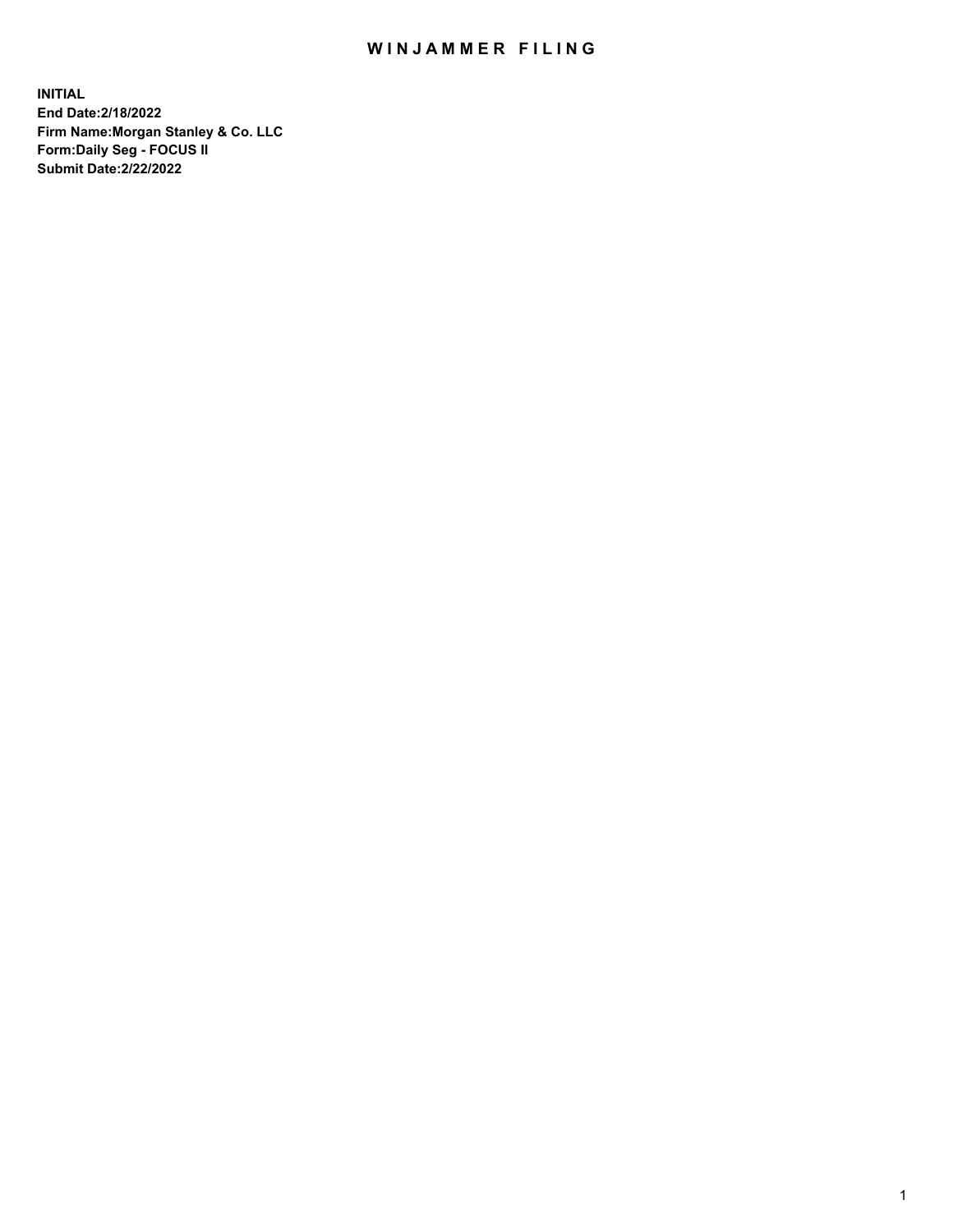## WIN JAMMER FILING

**INITIAL End Date:2/18/2022 Firm Name:Morgan Stanley & Co. LLC Form:Daily Seg - FOCUS II Submit Date:2/22/2022**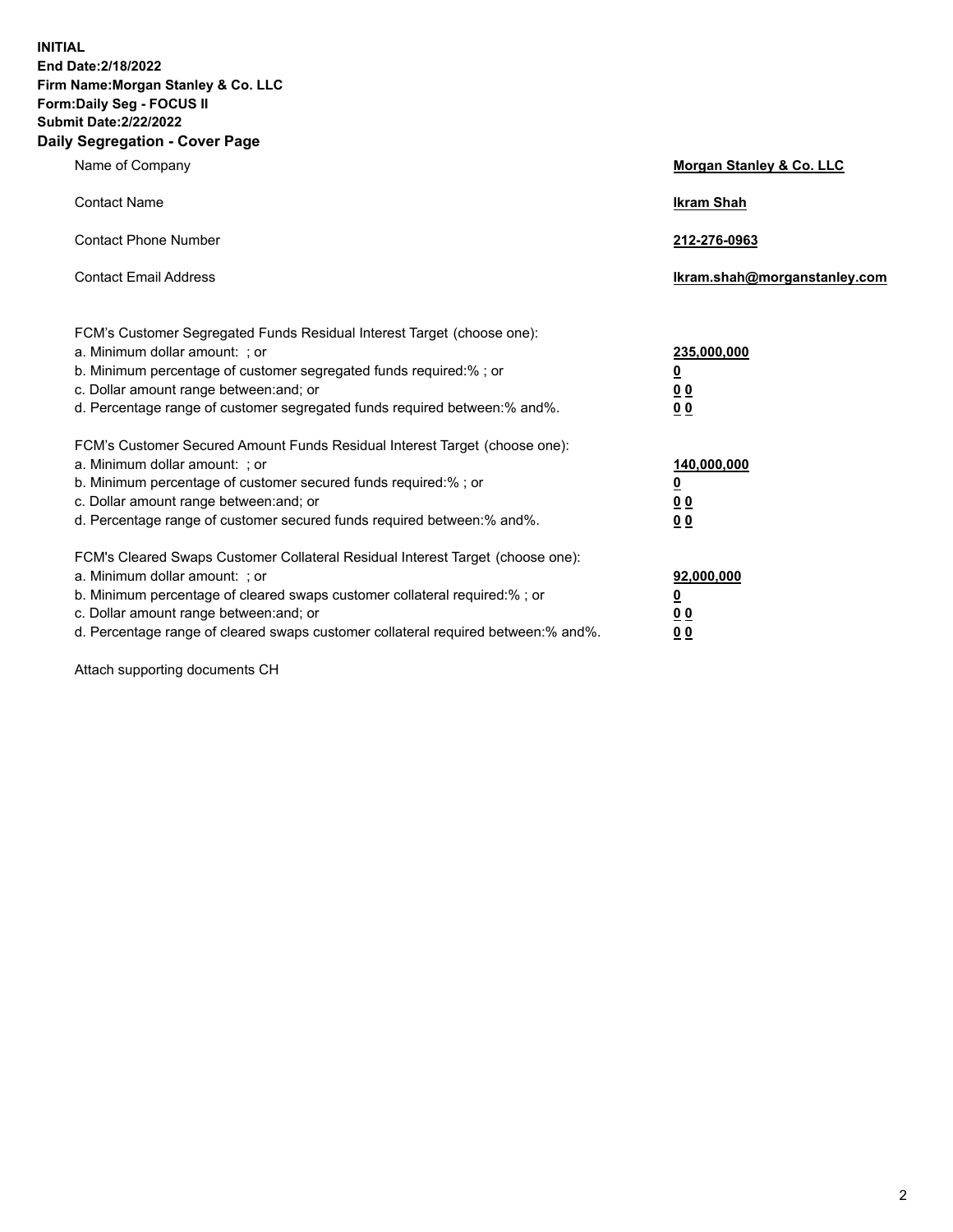**INITIAL End Date:2/18/2022 Firm Name:Morgan Stanley & Co. LLC Form:Daily Seg - FOCUS II Submit Date:2/22/2022 Daily Segregation - Cover Page**

| Name of Company                                                                                                                                                                                                                                                                                                                | Morgan Stanley & Co. LLC                                |
|--------------------------------------------------------------------------------------------------------------------------------------------------------------------------------------------------------------------------------------------------------------------------------------------------------------------------------|---------------------------------------------------------|
| <b>Contact Name</b>                                                                                                                                                                                                                                                                                                            | <b>Ikram Shah</b>                                       |
| <b>Contact Phone Number</b>                                                                                                                                                                                                                                                                                                    | 212-276-0963                                            |
| <b>Contact Email Address</b>                                                                                                                                                                                                                                                                                                   | Ikram.shah@morganstanley.com                            |
| FCM's Customer Segregated Funds Residual Interest Target (choose one):<br>a. Minimum dollar amount: ; or<br>b. Minimum percentage of customer segregated funds required:% ; or<br>c. Dollar amount range between: and; or<br>d. Percentage range of customer segregated funds required between:% and%.                         | 235,000,000<br><u>0</u><br><u>00</u><br><u>00</u>       |
| FCM's Customer Secured Amount Funds Residual Interest Target (choose one):<br>a. Minimum dollar amount: ; or<br>b. Minimum percentage of customer secured funds required:%; or<br>c. Dollar amount range between: and; or<br>d. Percentage range of customer secured funds required between:% and%.                            | 140,000,000<br><u>0</u><br><u>0 0</u><br>0 <sub>0</sub> |
| FCM's Cleared Swaps Customer Collateral Residual Interest Target (choose one):<br>a. Minimum dollar amount: ; or<br>b. Minimum percentage of cleared swaps customer collateral required:% ; or<br>c. Dollar amount range between: and; or<br>d. Percentage range of cleared swaps customer collateral required between:% and%. | 92,000,000<br><u>0</u><br><u>00</u><br>00               |

Attach supporting documents CH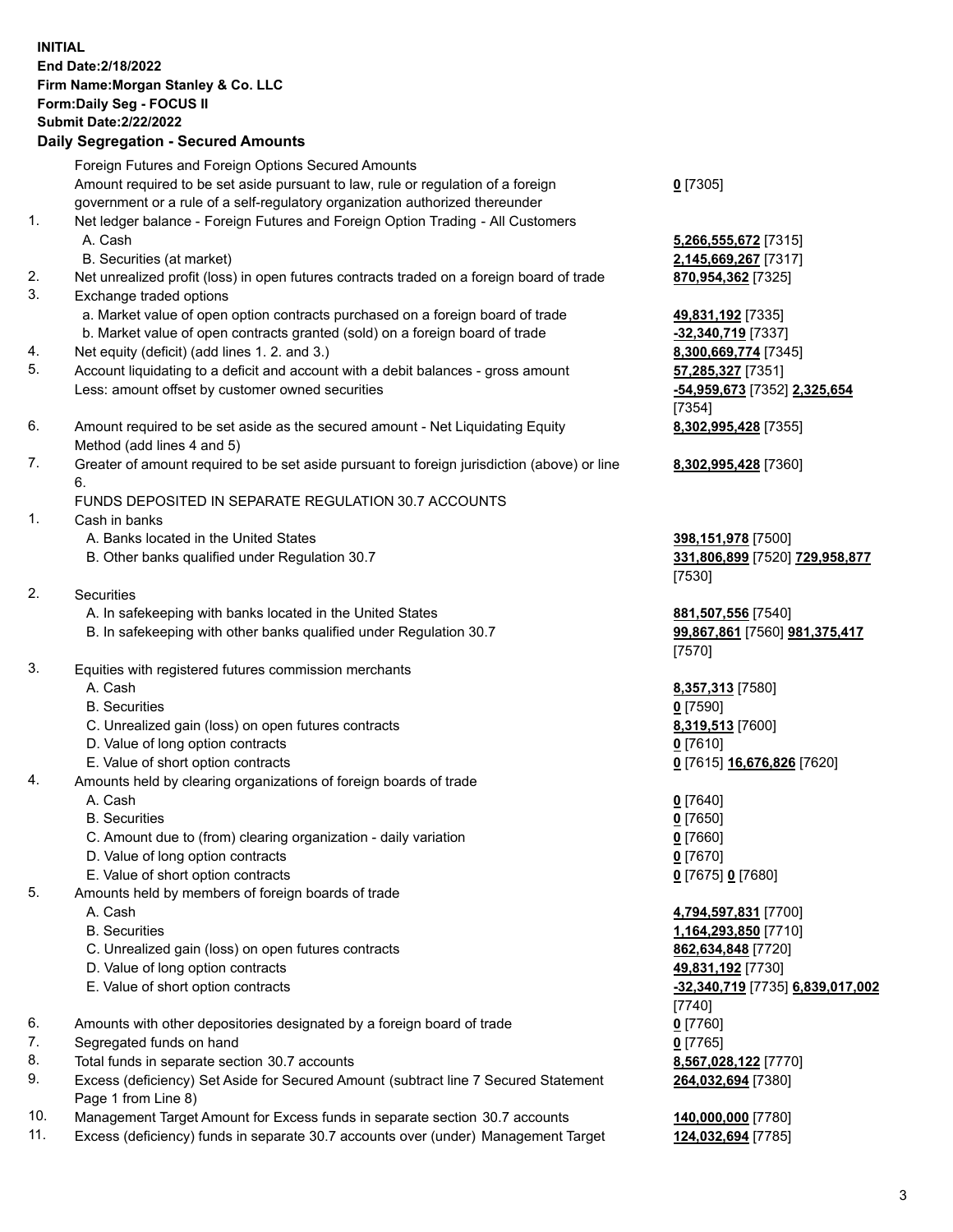## **INITIAL End Date:2/18/2022 Firm Name:Morgan Stanley & Co. LLC Form:Daily Seg - FOCUS II Submit Date:2/22/2022 Daily Segregation - Secured Amounts** Foreign Futures and Foreign Options Secured Amounts

Amount required to be set aside pursuant to law, rule or regulation of a foreign government or a rule of a self-regulatory organization authorized thereunder

- 1. Net ledger balance Foreign Futures and Foreign Option Trading All Customers A. Cash **5,266,555,672** [7315]
	- B. Securities (at market) **2,145,669,267** [7317]
- 2. Net unrealized profit (loss) in open futures contracts traded on a foreign board of trade **870,954,362** [7325]
- 3. Exchange traded options
	- a. Market value of open option contracts purchased on a foreign board of trade **49,831,192** [7335]
	- b. Market value of open contracts granted (sold) on a foreign board of trade **-32,340,719** [7337]
- 4. Net equity (deficit) (add lines 1. 2. and 3.) **8,300,669,774** [7345]
- 5. Account liquidating to a deficit and account with a debit balances gross amount **57,285,327** [7351] Less: amount offset by customer owned securities **-54,959,673** [7352] **2,325,654**
- 6. Amount required to be set aside as the secured amount Net Liquidating Equity Method (add lines 4 and 5)
- 7. Greater of amount required to be set aside pursuant to foreign jurisdiction (above) or line 6.

## FUNDS DEPOSITED IN SEPARATE REGULATION 30.7 ACCOUNTS

- 1. Cash in banks
	- A. Banks located in the United States **398,151,978** [7500]
	- B. Other banks qualified under Regulation 30.7 **331,806,899** [7520] **729,958,877**
- 2. Securities
	- A. In safekeeping with banks located in the United States **881,507,556** [7540]
	- B. In safekeeping with other banks qualified under Regulation 30.7 **99,867,861** [7560] **981,375,417**
- 3. Equities with registered futures commission merchants
	-
	- B. Securities **0** [7590]
	- C. Unrealized gain (loss) on open futures contracts **8,319,513** [7600]
	- D. Value of long option contracts **0** [7610]
	- E. Value of short option contracts **0** [7615] **16,676,826** [7620]
- 4. Amounts held by clearing organizations of foreign boards of trade
	- A. Cash **0** [7640]
	- B. Securities **0** [7650]
	- C. Amount due to (from) clearing organization daily variation **0** [7660]
	- D. Value of long option contracts **0** [7670]
	- E. Value of short option contracts **0** [7675] **0** [7680]
- 5. Amounts held by members of foreign boards of trade
	-
	-
	- C. Unrealized gain (loss) on open futures contracts **862,634,848** [7720]
	- D. Value of long option contracts **49,831,192** [7730]
	- E. Value of short option contracts **-32,340,719** [7735] **6,839,017,002**
- 6. Amounts with other depositories designated by a foreign board of trade **0** [7760]
- 7. Segregated funds on hand **0** [7765]
- 8. Total funds in separate section 30.7 accounts **8,567,028,122** [7770]
- 9. Excess (deficiency) Set Aside for Secured Amount (subtract line 7 Secured Statement Page 1 from Line 8)
- 10. Management Target Amount for Excess funds in separate section 30.7 accounts **140,000,000** [7780]
- 11. Excess (deficiency) funds in separate 30.7 accounts over (under) Management Target **124,032,694** [7785]

**0** [7305]

[7354] **8,302,995,428** [7355]

**8,302,995,428** [7360]

[7530]

[7570]

A. Cash **8,357,313** [7580]

 A. Cash **4,794,597,831** [7700] B. Securities **1,164,293,850** [7710] [7740] **264,032,694** [7380]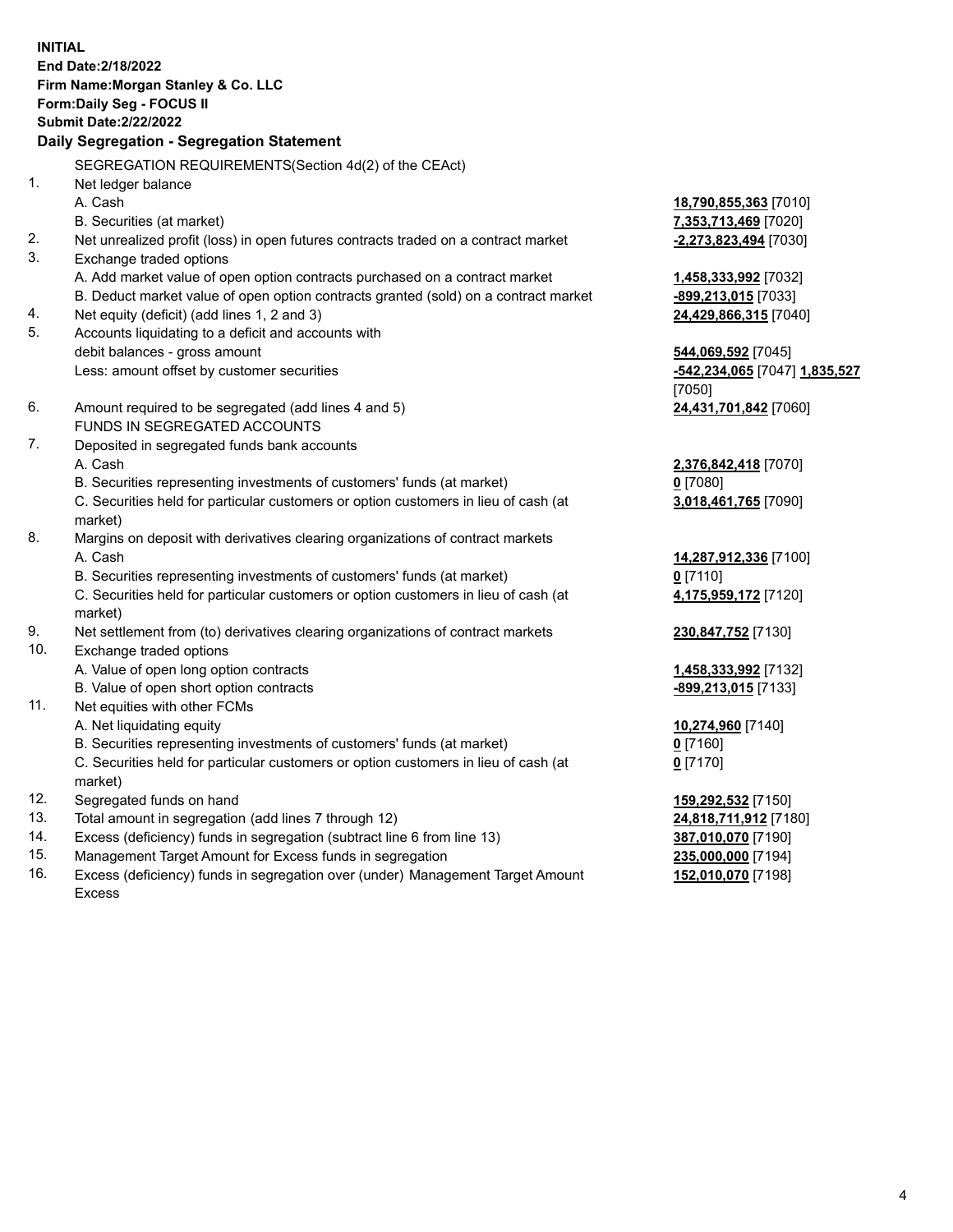**INITIAL End Date:2/18/2022 Firm Name:Morgan Stanley & Co. LLC Form:Daily Seg - FOCUS II Submit Date:2/22/2022 Daily Segregation - Segregation Statement** SEGREGATION REQUIREMENTS(Section 4d(2) of the CEAct) 1. Net ledger balance A. Cash **18,790,855,363** [7010] B. Securities (at market) **7,353,713,469** [7020] 2. Net unrealized profit (loss) in open futures contracts traded on a contract market **-2,273,823,494** [7030] 3. Exchange traded options A. Add market value of open option contracts purchased on a contract market **1,458,333,992** [7032] B. Deduct market value of open option contracts granted (sold) on a contract market **-899,213,015** [7033] 4. Net equity (deficit) (add lines 1, 2 and 3) **24,429,866,315** [7040] 5. Accounts liquidating to a deficit and accounts with debit balances - gross amount **544,069,592** [7045] Less: amount offset by customer securities **-542,234,065** [7047] **1,835,527** [7050] 6. Amount required to be segregated (add lines 4 and 5) **24,431,701,842** [7060] FUNDS IN SEGREGATED ACCOUNTS 7. Deposited in segregated funds bank accounts A. Cash **2,376,842,418** [7070] B. Securities representing investments of customers' funds (at market) **0** [7080] C. Securities held for particular customers or option customers in lieu of cash (at market) **3,018,461,765** [7090] 8. Margins on deposit with derivatives clearing organizations of contract markets A. Cash **14,287,912,336** [7100] B. Securities representing investments of customers' funds (at market) **0** [7110] C. Securities held for particular customers or option customers in lieu of cash (at market) **4,175,959,172** [7120] 9. Net settlement from (to) derivatives clearing organizations of contract markets **230,847,752** [7130] 10. Exchange traded options A. Value of open long option contracts **1,458,333,992** [7132] B. Value of open short option contracts **-899,213,015** [7133] 11. Net equities with other FCMs A. Net liquidating equity **10,274,960** [7140] B. Securities representing investments of customers' funds (at market) **0** [7160] C. Securities held for particular customers or option customers in lieu of cash (at market) **0** [7170] 12. Segregated funds on hand **159,292,532** [7150] 13. Total amount in segregation (add lines 7 through 12) **24,818,711,912** [7180] 14. Excess (deficiency) funds in segregation (subtract line 6 from line 13) **387,010,070** [7190] 15. Management Target Amount for Excess funds in segregation **235,000,000** [7194]

16. Excess (deficiency) funds in segregation over (under) Management Target Amount Excess

**152,010,070** [7198]